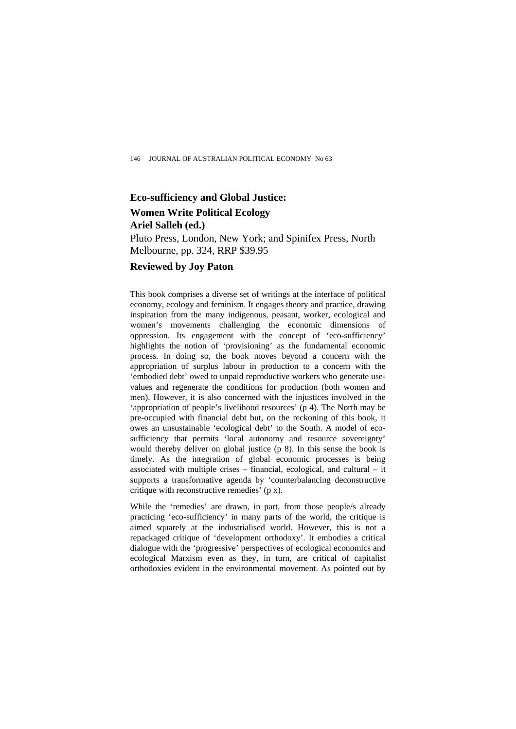## **Eco-sufficiency and Global Justice: Women Write Political Ecology Ariel Salleh (ed.)**

Pluto Press, London, New York; and Spinifex Press, North Melbourne, pp. 324, RRP \$39.95

## **Reviewed by Joy Paton**

This book comprises a diverse set of writings at the interface of political economy, ecology and feminism. It engages theory and practice, drawing inspiration from the many indigenous, peasant, worker, ecological and women's movements challenging the economic dimensions of oppression. Its engagement with the concept of 'eco-sufficiency' highlights the notion of 'provisioning' as the fundamental economic process. In doing so, the book moves beyond a concern with the appropriation of surplus labour in production to a concern with the 'embodied debt' owed to unpaid reproductive workers who generate usevalues and regenerate the conditions for production (both women and men). However, it is also concerned with the injustices involved in the 'appropriation of people's livelihood resources' (p 4). The North may be pre-occupied with financial debt but, on the reckoning of this book, it owes an unsustainable 'ecological debt' to the South. A model of ecosufficiency that permits 'local autonomy and resource sovereignty' would thereby deliver on global justice (p 8). In this sense the book is timely. As the integration of global economic processes is being associated with multiple crises – financial, ecological, and cultural – it supports a transformative agenda by 'counterbalancing deconstructive critique with reconstructive remedies' (p x).

While the 'remedies' are drawn, in part, from those people/s already practicing 'eco-sufficiency' in many parts of the world, the critique is aimed squarely at the industrialised world. However, this is not a repackaged critique of 'development orthodoxy'. It embodies a critical dialogue with the 'progressive' perspectives of ecological economics and ecological Marxism even as they, in turn, are critical of capitalist orthodoxies evident in the environmental movement. As pointed out by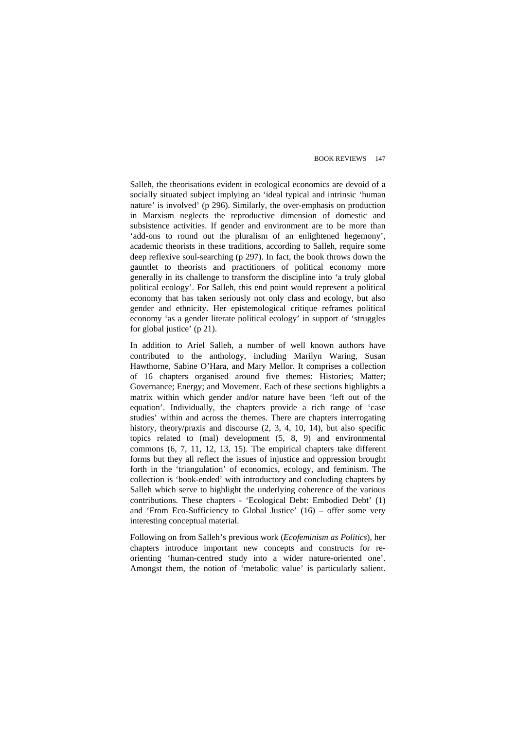Salleh, the theorisations evident in ecological economics are devoid of a socially situated subject implying an 'ideal typical and intrinsic 'human nature' is involved' (p 296). Similarly, the over-emphasis on production in Marxism neglects the reproductive dimension of domestic and subsistence activities. If gender and environment are to be more than 'add-ons to round out the pluralism of an enlightened hegemony', academic theorists in these traditions, according to Salleh, require some deep reflexive soul-searching (p 297). In fact, the book throws down the gauntlet to theorists and practitioners of political economy more generally in its challenge to transform the discipline into 'a truly global political ecology'. For Salleh, this end point would represent a political economy that has taken seriously not only class and ecology, but also gender and ethnicity. Her epistemological critique reframes political economy 'as a gender literate political ecology' in support of 'struggles for global justice' (p 21).

In addition to Ariel Salleh, a number of well known authors have contributed to the anthology, including Marilyn Waring, Susan Hawthorne, Sabine O'Hara, and Mary Mellor. It comprises a collection of 16 chapters organised around five themes: Histories; Matter; Governance; Energy; and Movement. Each of these sections highlights a matrix within which gender and/or nature have been 'left out of the equation'. Individually, the chapters provide a rich range of 'case studies' within and across the themes. There are chapters interrogating history, theory/praxis and discourse  $(2, 3, 4, 10, 14)$ , but also specific topics related to (mal) development (5, 8, 9) and environmental commons (6, 7, 11, 12, 13, 15). The empirical chapters take different forms but they all reflect the issues of injustice and oppression brought forth in the 'triangulation' of economics, ecology, and feminism. The collection is 'book-ended' with introductory and concluding chapters by Salleh which serve to highlight the underlying coherence of the various contributions. These chapters - 'Ecological Debt: Embodied Debt' (1) and 'From Eco-Sufficiency to Global Justice' (16) – offer some very interesting conceptual material.

Following on from Salleh's previous work (*Ecofeminism as Politics*), her chapters introduce important new concepts and constructs for reorienting 'human-centred study into a wider nature-oriented one'. Amongst them, the notion of 'metabolic value' is particularly salient.